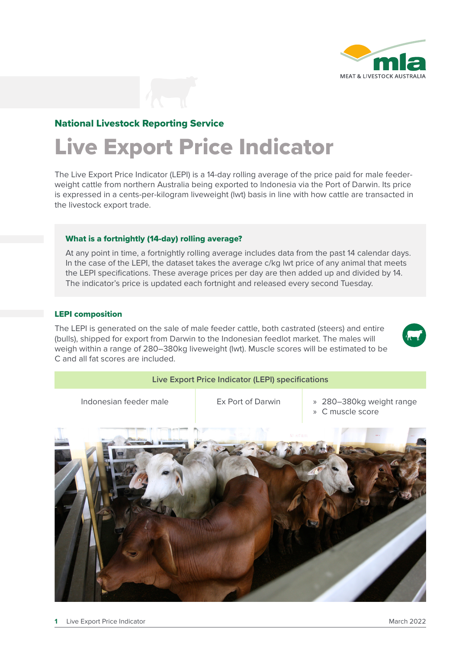

# National Livestock Reporting Service Live Export Price Indicator

The Live Export Price Indicator (LEPI) is a 14-day rolling average of the price paid for male feederweight cattle from northern Australia being exported to Indonesia via the Port of Darwin. Its price is expressed in a cents-per-kilogram liveweight (lwt) basis in line with how cattle are transacted in the livestock export trade.

## What is a fortnightly (14-day) rolling average?

At any point in time, a fortnightly rolling average includes data from the past 14 calendar days. In the case of the LEPI, the dataset takes the average c/kg lwt price of any animal that meets the LEPI specifications. These average prices per day are then added up and divided by 14. The indicator's price is updated each fortnight and released every second Tuesday.

## LEPI composition

The LEPI is generated on the sale of male feeder cattle, both castrated (steers) and entire (bulls), shipped for export from Darwin to the Indonesian feedlot market. The males will weigh within a range of 280–380kg liveweight (lwt). Muscle scores will be estimated to be C and all fat scores are included.



- Indonesian feeder male Ex Port of Darwin » 280–380kg weight range
	- » C muscle score